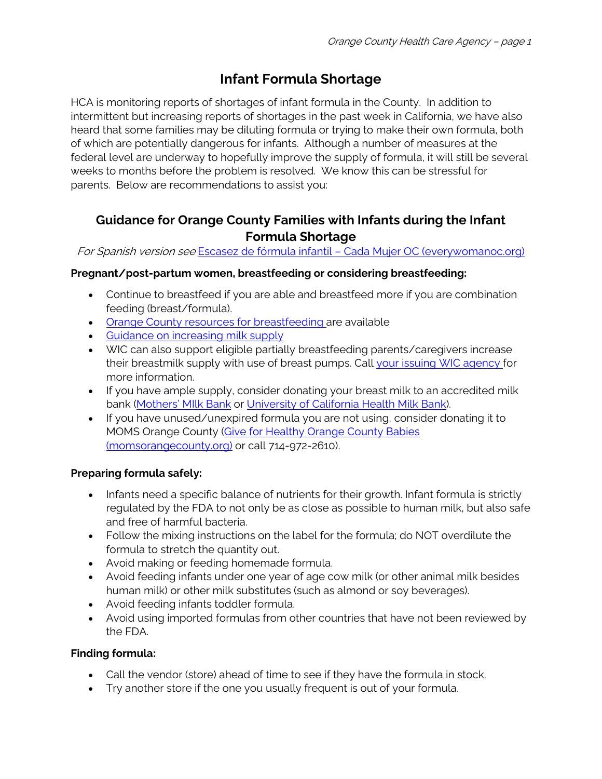# **Infant Formula Shortage**

HCA is monitoring reports of shortages of infant formula in the County. In addition to intermittent but increasing reports of shortages in the past week in California, we have also heard that some families may be diluting formula or trying to make their own formula, both of which are potentially dangerous for infants. Although a number of measures at the federal level are underway to hopefully improve the supply of formula, it will still be several weeks to months before the problem is resolved. We know this can be stressful for parents. Below are recommendations to assist you:

# **Guidance for Orange County Families with Infants during the Infant Formula Shortage**

For Spanish version see Escasez de fórmula infantil – [Cada Mujer OC \(everywomanoc.org\)](https://sp.everywomanoc.org/escasez-de-formula-infantil/)

## **Pregnant/post-partum women, breastfeeding or considering breastfeeding:**

- Continue to breastfeed if you are able and breastfeed more if you are combination feeding (breast/formula).
- [Orange County resources for breastfeeding](https://everywomanoc.org/wp-content/uploads/2022/05/OC-Breastfeeding-Resources_5.20.22.pdf) are available
- [Guidance on increasing milk supply](https://wicbreastfeeding.fns.usda.gov/low-milk-supply)
- WIC can also support eligible partially breastfeeding parents/caregivers increase their breastmilk supply with use of breast pumps. Call [your issuing WIC agency](https://everywomanoc.org/wp-content/uploads/2022/05/OC-WIC-Sites.pdf) for more information.
- If you have ample supply, consider donating your breast milk to an accredited milk bank [\(Mothers' MIlk Bank](https://mothersmilk.org/donate-milk/) or [University of California Health Milk Bank\)](https://health.universityofcalifornia.edu/patient-care/milk-bank).
- If you have unused/unexpired formula you are not using, consider donating it to MOMS Orange County [\(Give for Healthy Orange County Babies](https://www.momsorangecounty.org/donate-baby-items/)  [\(momsorangecounty.org\)](https://www.momsorangecounty.org/donate-baby-items/) or call 714-972-2610).

## **Preparing formula safely:**

- Infants need a specific balance of nutrients for their growth. Infant formula is strictly regulated by the FDA to not only be as close as possible to human milk, but also safe and free of harmful bacteria.
- Follow the mixing instructions on the label for the formula; do NOT overdilute the formula to stretch the quantity out.
- Avoid making or feeding homemade formula.
- Avoid feeding infants under one year of age cow milk (or other animal milk besides human milk) or other milk substitutes (such as almond or soy beverages).
- Avoid feeding infants toddler formula.
- Avoid using imported formulas from other countries that have not been reviewed by the FDA.

## **Finding formula:**

- Call the vendor (store) ahead of time to see if they have the formula in stock.
- Try another store if the one you usually frequent is out of your formula.